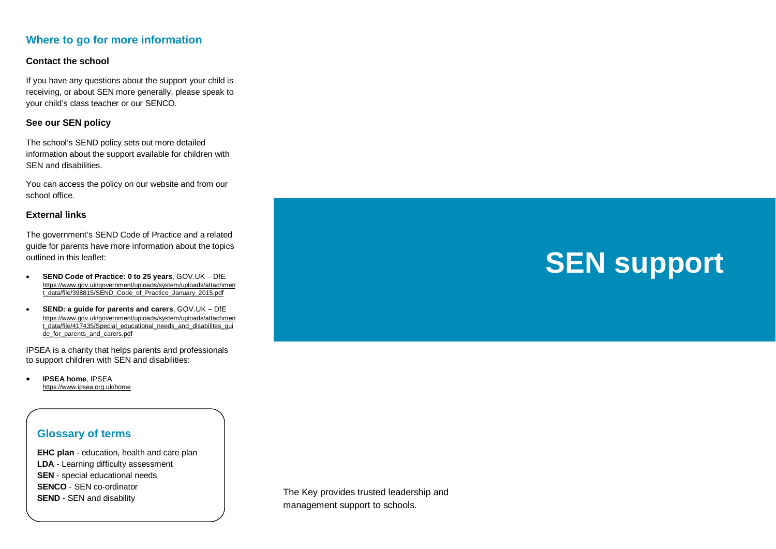## **Where to go for more information**

#### **Contact the school**

If you have any questions about the support your child is receiving, or about SEN more generally, please speak to your child's class teacher or our SENCO.

#### **See our SEN policy**

The school's SEND policy sets out more detailed information about the support available for children with SEN and disabilities.

You can access the policy on our website and from our school office.

#### **External links**

The government's SEND Code of Practice and a related guide for parents have more information about the topics outlined in this leaflet:

- **SEND Code of Practice: 0 to 25 years**, GOV.UK DfE [https://www.gov.uk/government/uploads/system/uploads/attachmen](https://www.gov.uk/government/uploads/system/uploads/attachment_data/file/398815/SEND_Code_of_Practice_January_2015.pdf) [t\\_data/file/398815/SEND\\_Code\\_of\\_Practice\\_January\\_2015.pdf](https://www.gov.uk/government/uploads/system/uploads/attachment_data/file/398815/SEND_Code_of_Practice_January_2015.pdf)
- **SEND: a guide for parents and carers**, GOV.UK DfE [https://www.gov.uk/government/uploads/system/uploads/attachmen](https://www.gov.uk/government/uploads/system/uploads/attachment_data/file/417435/Special_educational_needs_and_disabilites_guide_for_parents_and_carers.pdf) [t\\_data/file/417435/Special\\_educational\\_needs\\_and\\_disabilites\\_gui](https://www.gov.uk/government/uploads/system/uploads/attachment_data/file/417435/Special_educational_needs_and_disabilites_guide_for_parents_and_carers.pdf) [de\\_for\\_parents\\_and\\_carers.pdf](https://www.gov.uk/government/uploads/system/uploads/attachment_data/file/417435/Special_educational_needs_and_disabilites_guide_for_parents_and_carers.pdf)

IPSEA is a charity that helps parents and professionals to support children with SEN and disabilities:

• **IPSEA home**, IPSEA<https://www.ipsea.org.uk/home>

## **Glossary of terms**

**EHC plan** - education, health and care plan **LDA** - Learning difficulty assessment **SEN** - special educational needs **SENCO** - SEN co-ordinator **SEND** - SEN and disability

The Key provides trusted leadership and management support to schools.

# **SEN support**